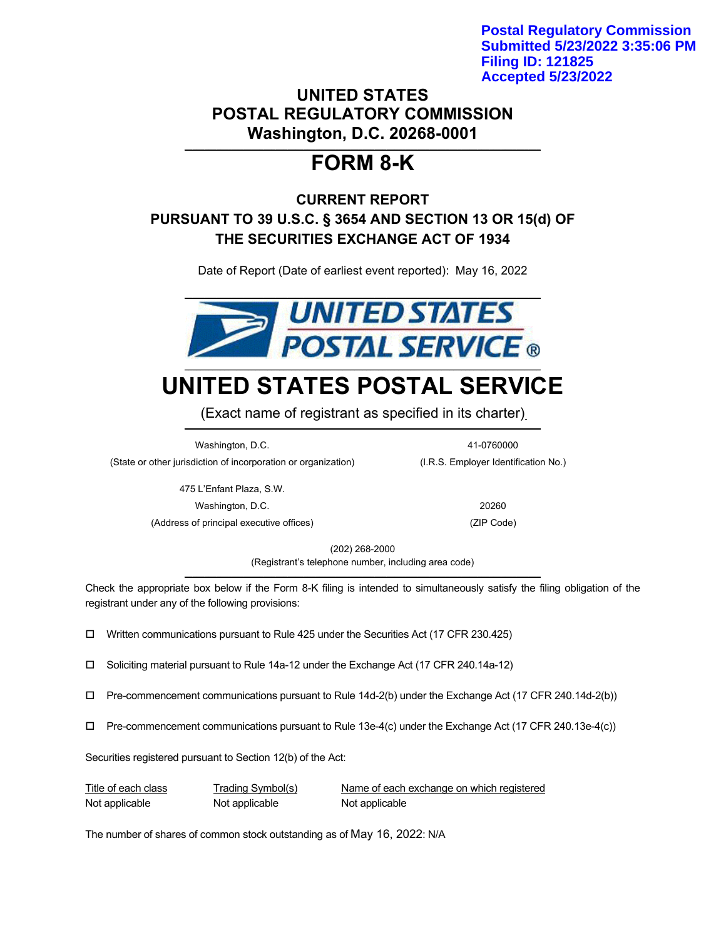**Postal Regulatory Commission Submitted 5/23/2022 3:35:06 PM Filing ID: 121825 Accepted 5/23/2022**

# **UNITED STATES POSTAL REGULATORY COMMISSION Washington, D.C. 20268-0001**

## **\_\_\_\_\_\_\_\_\_\_\_\_\_\_\_\_\_\_\_\_\_\_\_\_\_\_\_\_\_\_\_\_\_\_\_\_\_\_\_\_\_\_\_\_\_\_\_\_\_\_\_\_\_\_\_\_\_\_\_\_\_\_\_\_\_\_\_\_\_\_\_\_\_\_\_\_\_\_\_\_\_\_\_\_\_\_\_\_\_\_ FORM 8-K**

# **CURRENT REPORT PURSUANT TO 39 U.S.C. § 3654 AND SECTION 13 OR 15(d) OF THE SECURITIES EXCHANGE ACT OF 1934**

Date of Report (Date of earliest event reported): May 16, 2022



# **UNITED STATES POSTAL SERVICE**

(Exact name of registrant as specified in its charter) **\_\_\_\_\_\_\_\_\_\_\_\_\_\_\_\_\_\_\_\_\_\_\_\_\_\_\_\_\_\_\_\_\_\_\_\_\_\_\_\_\_\_\_\_\_\_\_\_\_\_\_\_\_\_\_\_\_\_\_\_\_\_\_\_\_\_\_\_\_\_\_\_\_\_\_\_\_\_\_\_\_\_\_\_\_\_\_\_\_\_**

Washington, D.C. 41-0760000 (State or other jurisdiction of incorporation or organization) (I.R.S. Employer Identification No.)

> 475 L'Enfant Plaza, S.W. Washington, D.C. 20260

(Address of principal executive offices) (ZIP Code)

(202) 268-2000 (Registrant's telephone number, including area code) **\_\_\_\_\_\_\_\_\_\_\_\_\_\_\_\_\_\_\_\_\_\_\_\_\_\_\_\_\_\_\_\_\_\_\_\_\_\_\_\_\_\_\_\_\_\_\_\_\_\_\_\_\_\_\_\_\_\_\_\_\_\_\_\_\_\_\_\_\_\_\_\_\_\_\_\_\_\_\_\_\_\_\_\_\_\_\_\_\_\_**

Check the appropriate box below if the Form 8-K filing is intended to simultaneously satisfy the filing obligation of the registrant under any of the following provisions:

Written communications pursuant to Rule 425 under the Securities Act (17 CFR 230.425)

Soliciting material pursuant to Rule 14a-12 under the Exchange Act (17 CFR 240.14a-12)

- Pre-commencement communications pursuant to Rule 14d-2(b) under the Exchange Act (17 CFR 240.14d-2(b))
- Pre-commencement communications pursuant to Rule 13e-4(c) under the Exchange Act (17 CFR 240.13e-4(c))

Securities registered pursuant to Section 12(b) of the Act:

Not applicable Not applicable Not applicable Not applicable

Title of each class Trading Symbol(s) Name of each exchange on which registered

The number of shares of common stock outstanding as of May 16, 2022: N/A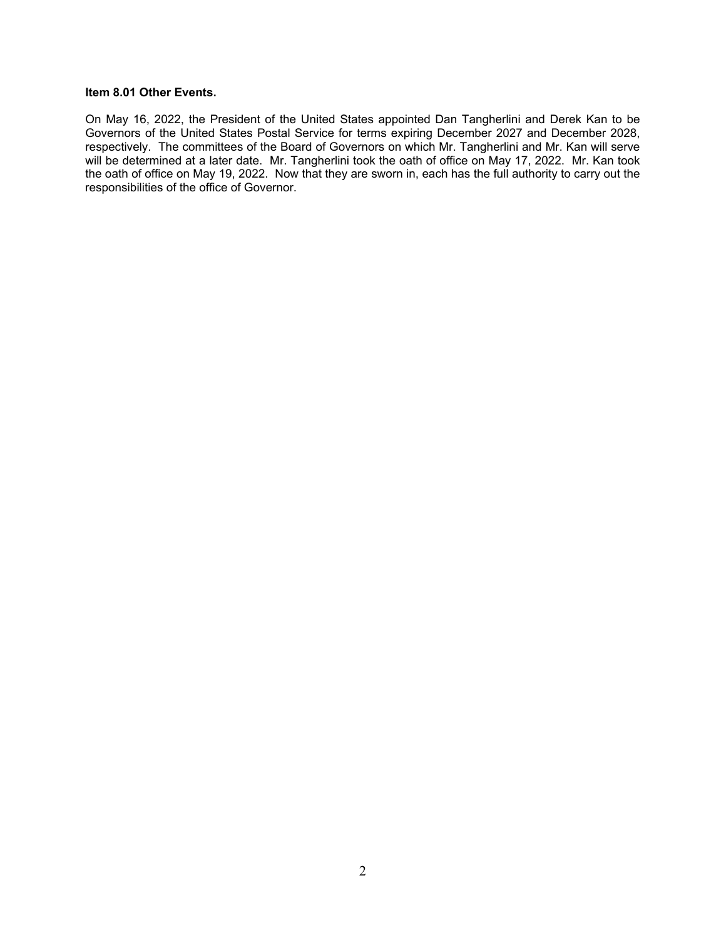#### **Item 8.01 Other Events.**

On May 16, 2022, the President of the United States appointed Dan Tangherlini and Derek Kan to be Governors of the United States Postal Service for terms expiring December 2027 and December 2028, respectively. The committees of the Board of Governors on which Mr. Tangherlini and Mr. Kan will serve will be determined at a later date. Mr. Tangherlini took the oath of office on May 17, 2022. Mr. Kan took the oath of office on May 19, 2022. Now that they are sworn in, each has the full authority to carry out the responsibilities of the office of Governor.